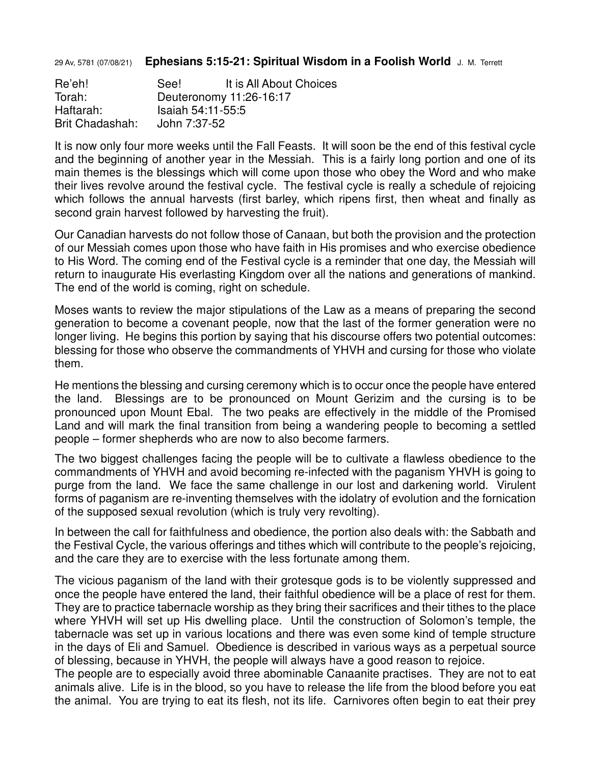29 Av, 5781 (07/08/21) **Ephesians 5:15-21: Spiritual Wisdom in a Foolish World** J. M. Terrett

Re'eh! See! It is All About Choices Torah: Deuteronomy 11:26-16:17 Haftarah: Isaiah 54:11-55:5 Brit Chadashah: John 7:37-52

It is now only four more weeks until the Fall Feasts. It will soon be the end of this festival cycle and the beginning of another year in the Messiah. This is a fairly long portion and one of its main themes is the blessings which will come upon those who obey the Word and who make their lives revolve around the festival cycle. The festival cycle is really a schedule of rejoicing which follows the annual harvests (first barley, which ripens first, then wheat and finally as second grain harvest followed by harvesting the fruit).

Our Canadian harvests do not follow those of Canaan, but both the provision and the protection of our Messiah comes upon those who have faith in His promises and who exercise obedience to His Word. The coming end of the Festival cycle is a reminder that one day, the Messiah will return to inaugurate His everlasting Kingdom over all the nations and generations of mankind. The end of the world is coming, right on schedule.

Moses wants to review the major stipulations of the Law as a means of preparing the second generation to become a covenant people, now that the last of the former generation were no longer living. He begins this portion by saying that his discourse offers two potential outcomes: blessing for those who observe the commandments of YHVH and cursing for those who violate them.

He mentions the blessing and cursing ceremony which is to occur once the people have entered the land. Blessings are to be pronounced on Mount Gerizim and the cursing is to be pronounced upon Mount Ebal. The two peaks are effectively in the middle of the Promised Land and will mark the final transition from being a wandering people to becoming a settled people – former shepherds who are now to also become farmers.

The two biggest challenges facing the people will be to cultivate a flawless obedience to the commandments of YHVH and avoid becoming re-infected with the paganism YHVH is going to purge from the land. We face the same challenge in our lost and darkening world. Virulent forms of paganism are re-inventing themselves with the idolatry of evolution and the fornication of the supposed sexual revolution (which is truly very revolting).

In between the call for faithfulness and obedience, the portion also deals with: the Sabbath and the Festival Cycle, the various offerings and tithes which will contribute to the people's rejoicing, and the care they are to exercise with the less fortunate among them.

The vicious paganism of the land with their grotesque gods is to be violently suppressed and once the people have entered the land, their faithful obedience will be a place of rest for them. They are to practice tabernacle worship as they bring their sacrifices and their tithes to the place where YHVH will set up His dwelling place. Until the construction of Solomon's temple, the tabernacle was set up in various locations and there was even some kind of temple structure in the days of Eli and Samuel. Obedience is described in various ways as a perpetual source of blessing, because in YHVH, the people will always have a good reason to rejoice.

The people are to especially avoid three abominable Canaanite practises. They are not to eat animals alive. Life is in the blood, so you have to release the life from the blood before you eat the animal. You are trying to eat its flesh, not its life. Carnivores often begin to eat their prey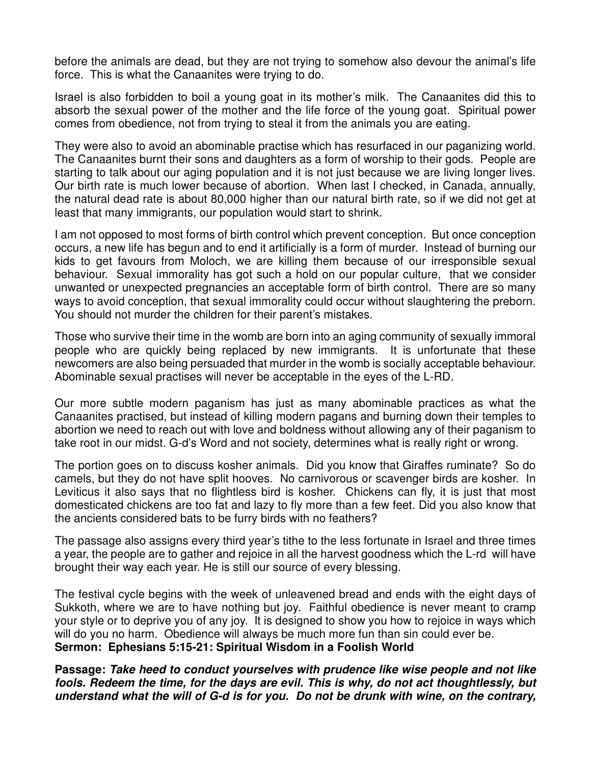before the animals are dead, but they are not trying to somehow also devour the animal's life force. This is what the Canaanites were trying to do.

Israel is also forbidden to boil a young goat in its mother's milk. The Canaanites did this to absorb the sexual power of the mother and the life force of the young goat. Spiritual power comes from obedience, not from trying to steal it from the animals you are eating.

They were also to avoid an abominable practise which has resurfaced in our paganizing world. The Canaanites burnt their sons and daughters as a form of worship to their gods. People are starting to talk about our aging population and it is not just because we are living longer lives. Our birth rate is much lower because of abortion. When last I checked, in Canada, annually, the natural dead rate is about 80,000 higher than our natural birth rate, so if we did not get at least that many immigrants, our population would start to shrink.

I am not opposed to most forms of birth control which prevent conception. But once conception occurs, a new life has begun and to end it artificially is a form of murder. Instead of burning our kids to get favours from Moloch, we are killing them because of our irresponsible sexual behaviour. Sexual immorality has got such a hold on our popular culture, that we consider unwanted or unexpected pregnancies an acceptable form of birth control. There are so many ways to avoid conception, that sexual immorality could occur without slaughtering the preborn. You should not murder the children for their parent's mistakes.

Those who survive their time in the womb are born into an aging community of sexually immoral people who are quickly being replaced by new immigrants. It is unfortunate that these newcomers are also being persuaded that murder in the womb is socially acceptable behaviour. Abominable sexual practises will never be acceptable in the eyes of the L-RD.

Our more subtle modern paganism has just as many abominable practices as what the Canaanites practised, but instead of killing modern pagans and burning down their temples to abortion we need to reach out with love and boldness without allowing any of their paganism to take root in our midst. G-d's Word and not society, determines what is really right or wrong.

The portion goes on to discuss kosher animals. Did you know that Giraffes ruminate? So do camels, but they do not have split hooves. No carnivorous or scavenger birds are kosher. In Leviticus it also says that no flightless bird is kosher. Chickens can fly, it is just that most domesticated chickens are too fat and lazy to fly more than a few feet. Did you also know that the ancients considered bats to be furry birds with no feathers?

The passage also assigns every third year's tithe to the less fortunate in Israel and three times a year, the people are to gather and rejoice in all the harvest goodness which the L-rd will have brought their way each year. He is still our source of every blessing.

The festival cycle begins with the week of unleavened bread and ends with the eight days of Sukkoth, where we are to have nothing but joy. Faithful obedience is never meant to cramp your style or to deprive you of any joy. It is designed to show you how to rejoice in ways which will do you no harm. Obedience will always be much more fun than sin could ever be. **Sermon: Ephesians 5:15-21: Spiritual Wisdom in a Foolish World** 

**Passage: Take heed to conduct yourselves with prudence like wise people and not like fools. Redeem the time, for the days are evil. This is why, do not act thoughtlessly, but understand what the will of G-d is for you. Do not be drunk with wine, on the contrary,**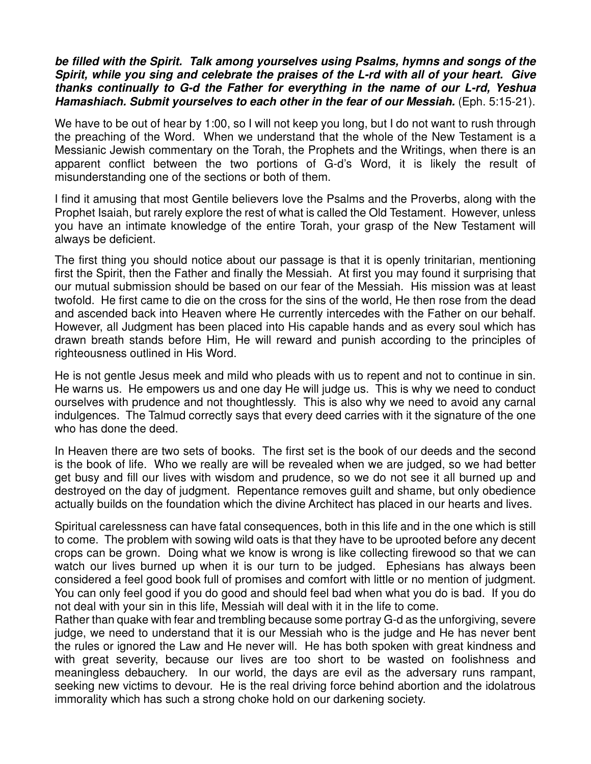## **be filled with the Spirit. Talk among yourselves using Psalms, hymns and songs of the Spirit, while you sing and celebrate the praises of the L-rd with all of your heart. Give thanks continually to G-d the Father for everything in the name of our L-rd, Yeshua Hamashiach. Submit yourselves to each other in the fear of our Messiah.** (Eph. 5:15-21).

We have to be out of hear by 1:00, so I will not keep you long, but I do not want to rush through the preaching of the Word. When we understand that the whole of the New Testament is a Messianic Jewish commentary on the Torah, the Prophets and the Writings, when there is an apparent conflict between the two portions of G-d's Word, it is likely the result of misunderstanding one of the sections or both of them.

I find it amusing that most Gentile believers love the Psalms and the Proverbs, along with the Prophet Isaiah, but rarely explore the rest of what is called the Old Testament. However, unless you have an intimate knowledge of the entire Torah, your grasp of the New Testament will always be deficient.

The first thing you should notice about our passage is that it is openly trinitarian, mentioning first the Spirit, then the Father and finally the Messiah. At first you may found it surprising that our mutual submission should be based on our fear of the Messiah. His mission was at least twofold. He first came to die on the cross for the sins of the world, He then rose from the dead and ascended back into Heaven where He currently intercedes with the Father on our behalf. However, all Judgment has been placed into His capable hands and as every soul which has drawn breath stands before Him, He will reward and punish according to the principles of righteousness outlined in His Word.

He is not gentle Jesus meek and mild who pleads with us to repent and not to continue in sin. He warns us. He empowers us and one day He will judge us. This is why we need to conduct ourselves with prudence and not thoughtlessly. This is also why we need to avoid any carnal indulgences. The Talmud correctly says that every deed carries with it the signature of the one who has done the deed.

In Heaven there are two sets of books. The first set is the book of our deeds and the second is the book of life. Who we really are will be revealed when we are judged, so we had better get busy and fill our lives with wisdom and prudence, so we do not see it all burned up and destroyed on the day of judgment. Repentance removes guilt and shame, but only obedience actually builds on the foundation which the divine Architect has placed in our hearts and lives.

Spiritual carelessness can have fatal consequences, both in this life and in the one which is still to come. The problem with sowing wild oats is that they have to be uprooted before any decent crops can be grown. Doing what we know is wrong is like collecting firewood so that we can watch our lives burned up when it is our turn to be judged. Ephesians has always been considered a feel good book full of promises and comfort with little or no mention of judgment. You can only feel good if you do good and should feel bad when what you do is bad. If you do not deal with your sin in this life, Messiah will deal with it in the life to come.

Rather than quake with fear and trembling because some portray G-d as the unforgiving, severe judge, we need to understand that it is our Messiah who is the judge and He has never bent the rules or ignored the Law and He never will. He has both spoken with great kindness and with great severity, because our lives are too short to be wasted on foolishness and meaningless debauchery. In our world, the days are evil as the adversary runs rampant, seeking new victims to devour. He is the real driving force behind abortion and the idolatrous immorality which has such a strong choke hold on our darkening society.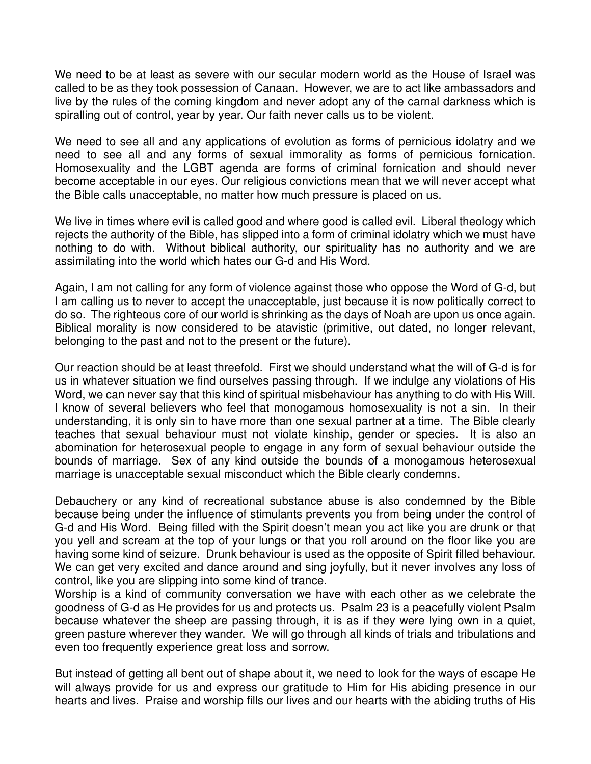We need to be at least as severe with our secular modern world as the House of Israel was called to be as they took possession of Canaan. However, we are to act like ambassadors and live by the rules of the coming kingdom and never adopt any of the carnal darkness which is spiralling out of control, year by year. Our faith never calls us to be violent.

We need to see all and any applications of evolution as forms of pernicious idolatry and we need to see all and any forms of sexual immorality as forms of pernicious fornication. Homosexuality and the LGBT agenda are forms of criminal fornication and should never become acceptable in our eyes. Our religious convictions mean that we will never accept what the Bible calls unacceptable, no matter how much pressure is placed on us.

We live in times where evil is called good and where good is called evil. Liberal theology which rejects the authority of the Bible, has slipped into a form of criminal idolatry which we must have nothing to do with. Without biblical authority, our spirituality has no authority and we are assimilating into the world which hates our G-d and His Word.

Again, I am not calling for any form of violence against those who oppose the Word of G-d, but I am calling us to never to accept the unacceptable, just because it is now politically correct to do so. The righteous core of our world is shrinking as the days of Noah are upon us once again. Biblical morality is now considered to be atavistic (primitive, out dated, no longer relevant, belonging to the past and not to the present or the future).

Our reaction should be at least threefold. First we should understand what the will of G-d is for us in whatever situation we find ourselves passing through. If we indulge any violations of His Word, we can never say that this kind of spiritual misbehaviour has anything to do with His Will. I know of several believers who feel that monogamous homosexuality is not a sin. In their understanding, it is only sin to have more than one sexual partner at a time. The Bible clearly teaches that sexual behaviour must not violate kinship, gender or species. It is also an abomination for heterosexual people to engage in any form of sexual behaviour outside the bounds of marriage. Sex of any kind outside the bounds of a monogamous heterosexual marriage is unacceptable sexual misconduct which the Bible clearly condemns.

Debauchery or any kind of recreational substance abuse is also condemned by the Bible because being under the influence of stimulants prevents you from being under the control of G-d and His Word. Being filled with the Spirit doesn't mean you act like you are drunk or that you yell and scream at the top of your lungs or that you roll around on the floor like you are having some kind of seizure. Drunk behaviour is used as the opposite of Spirit filled behaviour. We can get very excited and dance around and sing joyfully, but it never involves any loss of control, like you are slipping into some kind of trance.

Worship is a kind of community conversation we have with each other as we celebrate the goodness of G-d as He provides for us and protects us. Psalm 23 is a peacefully violent Psalm because whatever the sheep are passing through, it is as if they were lying own in a quiet, green pasture wherever they wander. We will go through all kinds of trials and tribulations and even too frequently experience great loss and sorrow.

But instead of getting all bent out of shape about it, we need to look for the ways of escape He will always provide for us and express our gratitude to Him for His abiding presence in our hearts and lives. Praise and worship fills our lives and our hearts with the abiding truths of His